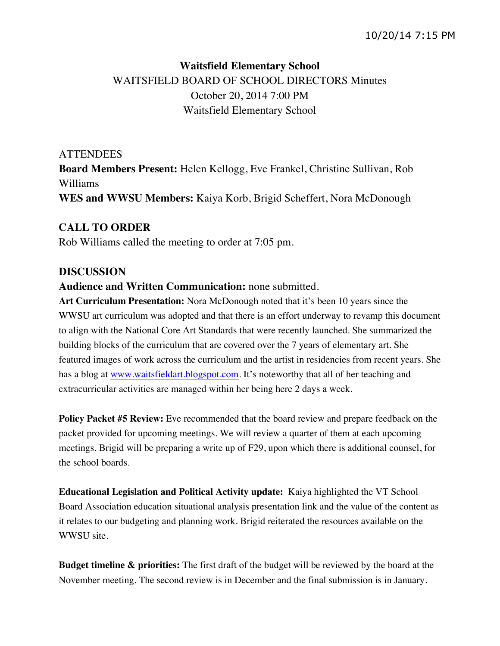# **Waitsfield Elementary School** WAITSFIELD BOARD OF SCHOOL DIRECTORS Minutes October 20, 2014 7:00 PM Waitsfield Elementary School

# **ATTENDEES**

**Board Members Present:** Helen Kellogg, Eve Frankel, Christine Sullivan, Rob Williams **WES and WWSU Members:** Kaiya Korb, Brigid Scheffert, Nora McDonough

## **CALL TO ORDER**

Rob Williams called the meeting to order at 7:05 pm.

### **DISCUSSION**

### **Audience and Written Communication:** none submitted.

**Art Curriculum Presentation:** Nora McDonough noted that it's been 10 years since the WWSU art curriculum was adopted and that there is an effort underway to revamp this document to align with the National Core Art Standards that were recently launched. She summarized the building blocks of the curriculum that are covered over the 7 years of elementary art. She featured images of work across the curriculum and the artist in residencies from recent years. She has a blog at www.waitsfieldart.blogspot.com. It's noteworthy that all of her teaching and extracurricular activities are managed within her being here 2 days a week.

**Policy Packet #5 Review:** Eve recommended that the board review and prepare feedback on the packet provided for upcoming meetings. We will review a quarter of them at each upcoming meetings. Brigid will be preparing a write up of F29, upon which there is additional counsel, for the school boards.

**Educational Legislation and Political Activity update:** Kaiya highlighted the VT School Board Association education situational analysis presentation link and the value of the content as it relates to our budgeting and planning work. Brigid reiterated the resources available on the WWSU site.

**Budget timeline & priorities:** The first draft of the budget will be reviewed by the board at the November meeting. The second review is in December and the final submission is in January.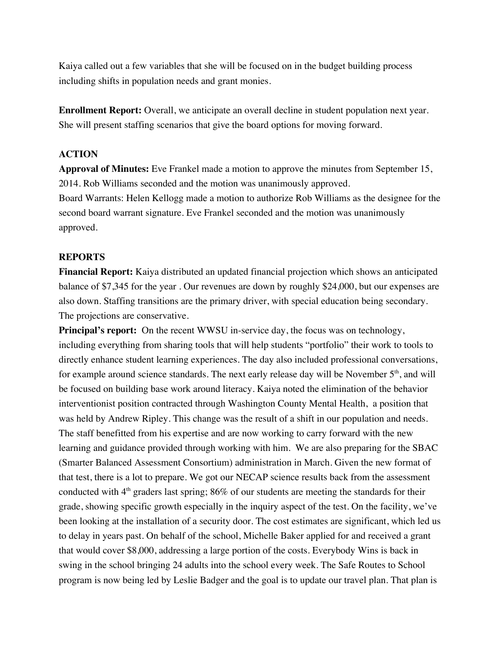Kaiya called out a few variables that she will be focused on in the budget building process including shifts in population needs and grant monies.

**Enrollment Report:** Overall, we anticipate an overall decline in student population next year. She will present staffing scenarios that give the board options for moving forward.

#### **ACTION**

**Approval of Minutes:** Eve Frankel made a motion to approve the minutes from September 15, 2014. Rob Williams seconded and the motion was unanimously approved.

Board Warrants: Helen Kellogg made a motion to authorize Rob Williams as the designee for the second board warrant signature. Eve Frankel seconded and the motion was unanimously approved.

#### **REPORTS**

**Financial Report:** Kaiya distributed an updated financial projection which shows an anticipated balance of \$7,345 for the year . Our revenues are down by roughly \$24,000, but our expenses are also down. Staffing transitions are the primary driver, with special education being secondary. The projections are conservative.

**Principal's report:** On the recent WWSU in-service day, the focus was on technology, including everything from sharing tools that will help students "portfolio" their work to tools to directly enhance student learning experiences. The day also included professional conversations, for example around science standards. The next early release day will be November  $5<sup>th</sup>$ , and will be focused on building base work around literacy. Kaiya noted the elimination of the behavior interventionist position contracted through Washington County Mental Health, a position that was held by Andrew Ripley. This change was the result of a shift in our population and needs. The staff benefitted from his expertise and are now working to carry forward with the new learning and guidance provided through working with him. We are also preparing for the SBAC (Smarter Balanced Assessment Consortium) administration in March. Given the new format of that test, there is a lot to prepare. We got our NECAP science results back from the assessment conducted with  $4<sup>th</sup>$  graders last spring; 86% of our students are meeting the standards for their grade, showing specific growth especially in the inquiry aspect of the test. On the facility, we've been looking at the installation of a security door. The cost estimates are significant, which led us to delay in years past. On behalf of the school, Michelle Baker applied for and received a grant that would cover \$8,000, addressing a large portion of the costs. Everybody Wins is back in swing in the school bringing 24 adults into the school every week. The Safe Routes to School program is now being led by Leslie Badger and the goal is to update our travel plan. That plan is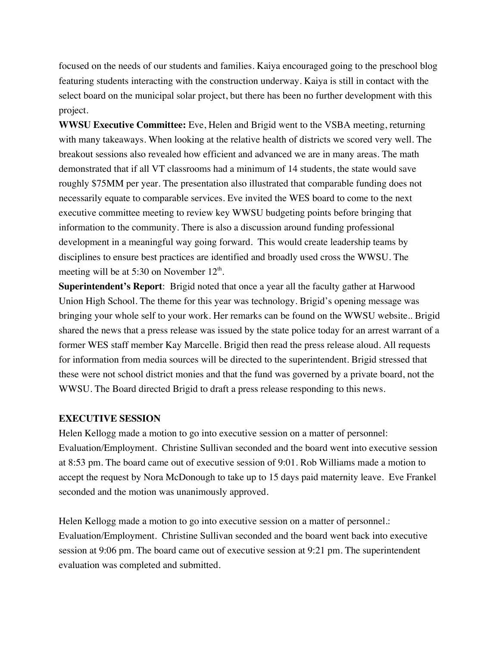focused on the needs of our students and families. Kaiya encouraged going to the preschool blog featuring students interacting with the construction underway. Kaiya is still in contact with the select board on the municipal solar project, but there has been no further development with this project.

**WWSU Executive Committee:** Eve, Helen and Brigid went to the VSBA meeting, returning with many takeaways. When looking at the relative health of districts we scored very well. The breakout sessions also revealed how efficient and advanced we are in many areas. The math demonstrated that if all VT classrooms had a minimum of 14 students, the state would save roughly \$75MM per year. The presentation also illustrated that comparable funding does not necessarily equate to comparable services. Eve invited the WES board to come to the next executive committee meeting to review key WWSU budgeting points before bringing that information to the community. There is also a discussion around funding professional development in a meaningful way going forward. This would create leadership teams by disciplines to ensure best practices are identified and broadly used cross the WWSU. The meeting will be at 5:30 on November  $12<sup>th</sup>$ .

**Superintendent's Report**: Brigid noted that once a year all the faculty gather at Harwood Union High School. The theme for this year was technology. Brigid's opening message was bringing your whole self to your work. Her remarks can be found on the WWSU website.. Brigid shared the news that a press release was issued by the state police today for an arrest warrant of a former WES staff member Kay Marcelle. Brigid then read the press release aloud. All requests for information from media sources will be directed to the superintendent. Brigid stressed that these were not school district monies and that the fund was governed by a private board, not the WWSU. The Board directed Brigid to draft a press release responding to this news.

#### **EXECUTIVE SESSION**

Helen Kellogg made a motion to go into executive session on a matter of personnel: Evaluation/Employment. Christine Sullivan seconded and the board went into executive session at 8:53 pm. The board came out of executive session of 9:01. Rob Williams made a motion to accept the request by Nora McDonough to take up to 15 days paid maternity leave. Eve Frankel seconded and the motion was unanimously approved.

Helen Kellogg made a motion to go into executive session on a matter of personnel.: Evaluation/Employment. Christine Sullivan seconded and the board went back into executive session at 9:06 pm. The board came out of executive session at 9:21 pm. The superintendent evaluation was completed and submitted.